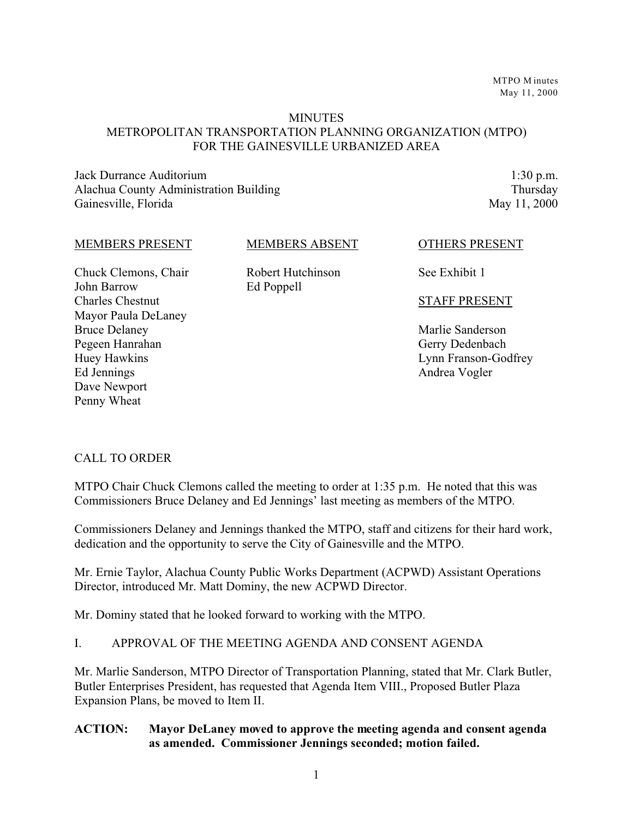MTPO M inutes May 11, 2000

#### **MINUTES**

#### METROPOLITAN TRANSPORTATION PLANNING ORGANIZATION (MTPO) FOR THE GAINESVILLE URBANIZED AREA

Jack Durrance Auditorium Alachua County Administration Building Gainesville, Florida

1:30 p.m. Thursday May 11, 2000

#### MEMBERS PRESENT

MEMBERS ABSENT

Chuck Clemons, Chair John Barrow Charles Chestnut Mayor Paula DeLaney Bruce Delaney Pegeen Hanrahan Huey Hawkins Ed Jennings Dave Newport Penny Wheat

Robert Hutchinson Ed Poppell

OTHERS PRESENT

See Exhibit 1

#### STAFF PRESENT

Marlie Sanderson Gerry Dedenbach Lynn Franson-Godfrey Andrea Vogler

#### CALL TO ORDER

MTPO Chair Chuck Clemons called the meeting to order at 1:35 p.m. He noted that this was Commissioners Bruce Delaney and Ed Jennings' last meeting as members of the MTPO.

Commissioners Delaney and Jennings thanked the MTPO, staff and citizens for their hard work, dedication and the opportunity to serve the City of Gainesville and the MTPO.

Mr. Ernie Taylor, Alachua County Public Works Department (ACPWD) Assistant Operations Director, introduced Mr. Matt Dominy, the new ACPWD Director.

Mr. Dominy stated that he looked forward to working with the MTPO.

#### I. APPROVAL OF THE MEETING AGENDA AND CONSENT AGENDA

Mr. Marlie Sanderson, MTPO Director of Transportation Planning, stated that Mr. Clark Butler, Butler Enterprises President, has requested that Agenda Item VIII., Proposed Butler Plaza Expansion Plans, be moved to Item II.

#### **ACTION: Mayor DeLaney moved to approve the meeting agenda and consent agenda as amended. Commissioner Jennings seconded; motion failed.**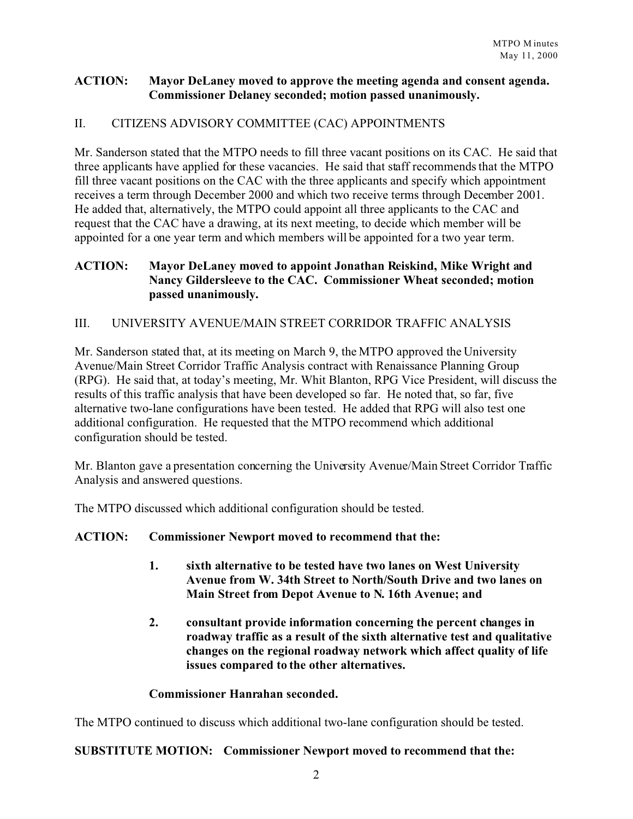#### **ACTION: Mayor DeLaney moved to approve the meeting agenda and consent agenda. Commissioner Delaney seconded; motion passed unanimously.**

## II. CITIZENS ADVISORY COMMITTEE (CAC) APPOINTMENTS

Mr. Sanderson stated that the MTPO needs to fill three vacant positions on its CAC. He said that three applicants have applied for these vacancies. He said that staff recommends that the MTPO fill three vacant positions on the CAC with the three applicants and specify which appointment receives a term through December 2000 and which two receive terms through December 2001. He added that, alternatively, the MTPO could appoint all three applicants to the CAC and request that the CAC have a drawing, at its next meeting, to decide which member will be appointed for a one year term and which members will be appointed for a two year term.

## **ACTION: Mayor DeLaney moved to appoint Jonathan Reiskind, Mike Wright and Nancy Gildersleeve to the CAC. Commissioner Wheat seconded; motion passed unanimously.**

## III. UNIVERSITY AVENUE/MAIN STREET CORRIDOR TRAFFIC ANALYSIS

Mr. Sanderson stated that, at its meeting on March 9, the MTPO approved the University Avenue/Main Street Corridor Traffic Analysis contract with Renaissance Planning Group (RPG). He said that, at today's meeting, Mr. Whit Blanton, RPG Vice President, will discuss the results of this traffic analysis that have been developed so far. He noted that, so far, five alternative two-lane configurations have been tested. He added that RPG will also test one additional configuration. He requested that the MTPO recommend which additional configuration should be tested.

Mr. Blanton gave a presentation concerning the University Avenue/Main Street Corridor Traffic Analysis and answered questions.

The MTPO discussed which additional configuration should be tested.

#### **ACTION: Commissioner Newport moved to recommend that the:**

- **1. sixth alternative to be tested have two lanes on West University Avenue from W. 34th Street to North/South Drive and two lanes on Main Street from Depot Avenue to N. 16th Avenue; and**
- **2. consultant provide information concerning the percent changes in roadway traffic as a result of the sixth alternative test and qualitative changes on the regional roadway network which affect quality of life issues compared to the other alternatives.**

## **Commissioner Hanrahan seconded.**

The MTPO continued to discuss which additional two-lane configuration should be tested.

#### **SUBSTITUTE MOTION: Commissioner Newport moved to recommend that the:**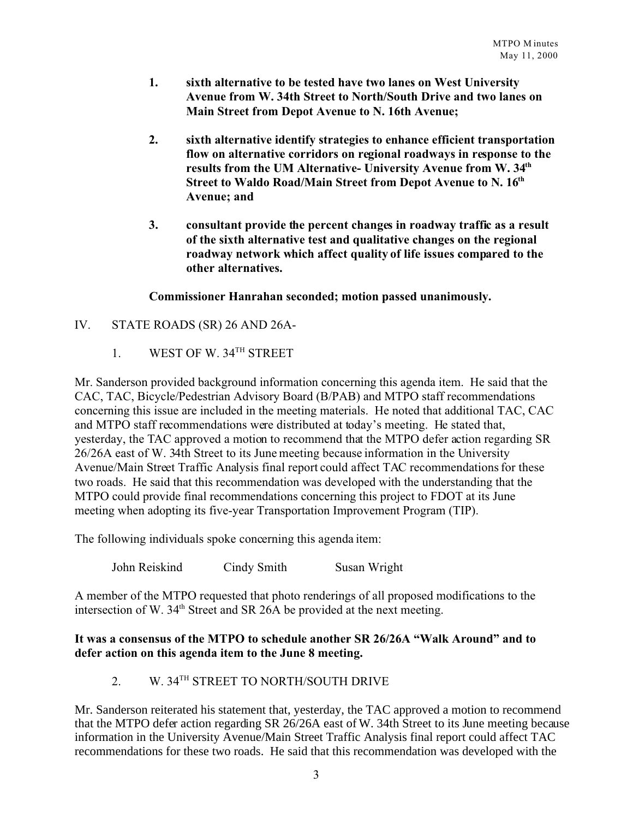- **1. sixth alternative to be tested have two lanes on West University Avenue from W. 34th Street to North/South Drive and two lanes on Main Street from Depot Avenue to N. 16th Avenue;**
- **2. sixth alternative identify strategies to enhance efficient transportation flow on alternative corridors on regional roadways in response to the results from the UM Alternative- University Avenue from W. 34th Street to Waldo Road/Main Street from Depot Avenue to N. 16th Avenue; and**
- **3. consultant provide the percent changes in roadway traffic as a result of the sixth alternative test and qualitative changes on the regional roadway network which affect quality of life issues compared to the other alternatives.**

#### **Commissioner Hanrahan seconded; motion passed unanimously.**

- IV. STATE ROADS (SR) 26 AND 26A-
	- 1. WEST OF W. 34<sup>TH</sup> STREET

Mr. Sanderson provided background information concerning this agenda item. He said that the CAC, TAC, Bicycle/Pedestrian Advisory Board (B/PAB) and MTPO staff recommendations concerning this issue are included in the meeting materials. He noted that additional TAC, CAC and MTPO staff recommendations were distributed at today's meeting. He stated that, yesterday, the TAC approved a motion to recommend that the MTPO defer action regarding SR 26/26A east of W. 34th Street to its June meeting because information in the University Avenue/Main Street Traffic Analysis final report could affect TAC recommendations for these two roads. He said that this recommendation was developed with the understanding that the MTPO could provide final recommendations concerning this project to FDOT at its June meeting when adopting its five-year Transportation Improvement Program (TIP).

The following individuals spoke concerning this agenda item:

John Reiskind Cindy Smith Susan Wright

A member of the MTPO requested that photo renderings of all proposed modifications to the intersection of W. 34<sup>th</sup> Street and SR 26A be provided at the next meeting.

#### **It was a consensus of the MTPO to schedule another SR 26/26A "Walk Around" and to defer action on this agenda item to the June 8 meeting.**

# 2. W. 34TH STREET TO NORTH/SOUTH DRIVE

Mr. Sanderson reiterated his statement that, yesterday, the TAC approved a motion to recommend that the MTPO defer action regarding SR 26/26A east of W. 34th Street to its June meeting because information in the University Avenue/Main Street Traffic Analysis final report could affect TAC recommendations for these two roads. He said that this recommendation was developed with the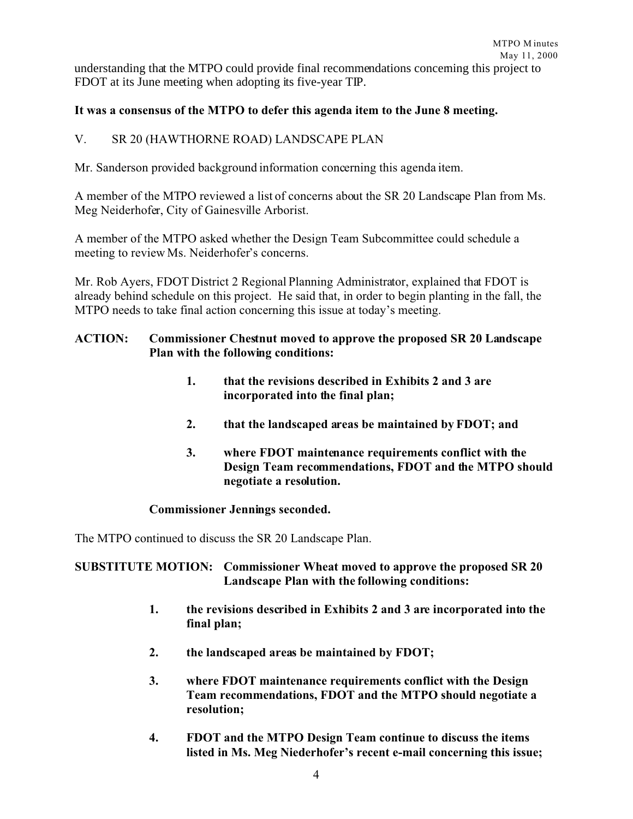understanding that the MTPO could provide final recommendations concerning this project to FDOT at its June meeting when adopting its five-year TIP.

#### **It was a consensus of the MTPO to defer this agenda item to the June 8 meeting.**

#### V. SR 20 (HAWTHORNE ROAD) LANDSCAPE PLAN

Mr. Sanderson provided background information concerning this agenda item.

A member of the MTPO reviewed a list of concerns about the SR 20 Landscape Plan from Ms. Meg Neiderhofer, City of Gainesville Arborist.

A member of the MTPO asked whether the Design Team Subcommittee could schedule a meeting to review Ms. Neiderhofer's concerns.

Mr. Rob Ayers, FDOT District 2 Regional Planning Administrator, explained that FDOT is already behind schedule on this project. He said that, in order to begin planting in the fall, the MTPO needs to take final action concerning this issue at today's meeting.

#### **ACTION: Commissioner Chestnut moved to approve the proposed SR 20 Landscape Plan with the following conditions:**

- **1. that the revisions described in Exhibits 2 and 3 are incorporated into the final plan;**
- **2. that the landscaped areas be maintained by FDOT; and**
- **3. where FDOT maintenance requirements conflict with the Design Team recommendations, FDOT and the MTPO should negotiate a resolution.**

#### **Commissioner Jennings seconded.**

The MTPO continued to discuss the SR 20 Landscape Plan.

#### **SUBSTITUTE MOTION: Commissioner Wheat moved to approve the proposed SR 20 Landscape Plan with the following conditions:**

- **1. the revisions described in Exhibits 2 and 3 are incorporated into the final plan;**
- **2. the landscaped areas be maintained by FDOT;**
- **3. where FDOT maintenance requirements conflict with the Design Team recommendations, FDOT and the MTPO should negotiate a resolution;**
- **4. FDOT and the MTPO Design Team continue to discuss the items listed in Ms. Meg Niederhofer's recent e-mail concerning this issue;**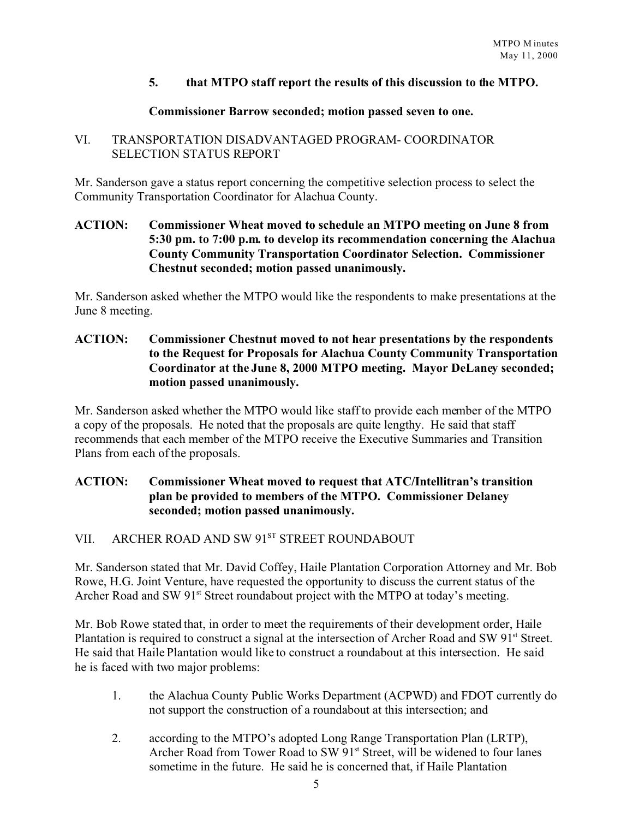#### **5. that MTPO staff report the results of this discussion to the MTPO.**

#### **Commissioner Barrow seconded; motion passed seven to one.**

#### VI. TRANSPORTATION DISADVANTAGED PROGRAM- COORDINATOR SELECTION STATUS REPORT

Mr. Sanderson gave a status report concerning the competitive selection process to select the Community Transportation Coordinator for Alachua County.

#### **ACTION: Commissioner Wheat moved to schedule an MTPO meeting on June 8 from 5:30 pm. to 7:00 p.m. to develop its recommendation concerning the Alachua County Community Transportation Coordinator Selection. Commissioner Chestnut seconded; motion passed unanimously.**

Mr. Sanderson asked whether the MTPO would like the respondents to make presentations at the June 8 meeting.

#### **ACTION: Commissioner Chestnut moved to not hear presentations by the respondents to the Request for Proposals for Alachua County Community Transportation Coordinator at the June 8, 2000 MTPO meeting. Mayor DeLaney seconded; motion passed unanimously.**

Mr. Sanderson asked whether the MTPO would like staff to provide each member of the MTPO a copy of the proposals. He noted that the proposals are quite lengthy. He said that staff recommends that each member of the MTPO receive the Executive Summaries and Transition Plans from each of the proposals.

## **ACTION: Commissioner Wheat moved to request that ATC/Intellitran's transition plan be provided to members of the MTPO. Commissioner Delaney seconded; motion passed unanimously.**

#### VII. ARCHER ROAD AND SW 91ST STREET ROUNDABOUT

Mr. Sanderson stated that Mr. David Coffey, Haile Plantation Corporation Attorney and Mr. Bob Rowe, H.G. Joint Venture, have requested the opportunity to discuss the current status of the Archer Road and SW 91<sup>st</sup> Street roundabout project with the MTPO at today's meeting.

Mr. Bob Rowe stated that, in order to meet the requirements of their development order, Haile Plantation is required to construct a signal at the intersection of Archer Road and SW 91<sup>st</sup> Street. He said that Haile Plantation would like to construct a roundabout at this intersection. He said he is faced with two major problems:

- 1. the Alachua County Public Works Department (ACPWD) and FDOT currently do not support the construction of a roundabout at this intersection; and
- 2. according to the MTPO's adopted Long Range Transportation Plan (LRTP), Archer Road from Tower Road to SW 91<sup>st</sup> Street, will be widened to four lanes sometime in the future. He said he is concerned that, if Haile Plantation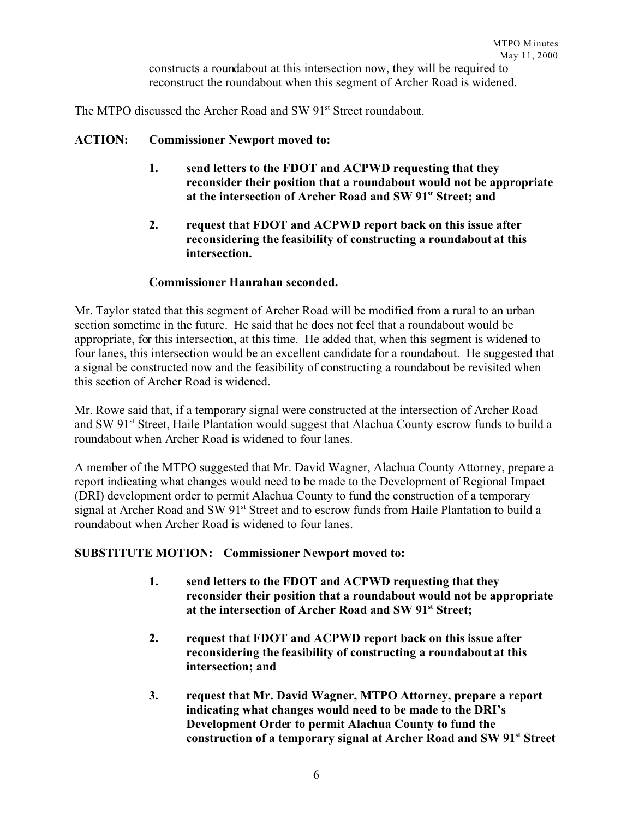constructs a roundabout at this intersection now, they will be required to reconstruct the roundabout when this segment of Archer Road is widened.

The MTPO discussed the Archer Road and SW 91<sup>st</sup> Street roundabout.

#### **ACTION: Commissioner Newport moved to:**

- **1. send letters to the FDOT and ACPWD requesting that they reconsider their position that a roundabout would not be appropriate at the intersection of Archer Road and SW 91st Street; and**
- **2. request that FDOT and ACPWD report back on this issue after reconsidering the feasibility of constructing a roundabout at this intersection.**

#### **Commissioner Hanrahan seconded.**

Mr. Taylor stated that this segment of Archer Road will be modified from a rural to an urban section sometime in the future. He said that he does not feel that a roundabout would be appropriate, for this intersection, at this time. He added that, when this segment is widened to four lanes, this intersection would be an excellent candidate for a roundabout. He suggested that a signal be constructed now and the feasibility of constructing a roundabout be revisited when this section of Archer Road is widened.

Mr. Rowe said that, if a temporary signal were constructed at the intersection of Archer Road and SW 91<sup>st</sup> Street, Haile Plantation would suggest that Alachua County escrow funds to build a roundabout when Archer Road is widened to four lanes.

A member of the MTPO suggested that Mr. David Wagner, Alachua County Attorney, prepare a report indicating what changes would need to be made to the Development of Regional Impact (DRI) development order to permit Alachua County to fund the construction of a temporary signal at Archer Road and SW 91<sup>st</sup> Street and to escrow funds from Haile Plantation to build a roundabout when Archer Road is widened to four lanes.

#### **SUBSTITUTE MOTION: Commissioner Newport moved to:**

- **1. send letters to the FDOT and ACPWD requesting that they reconsider their position that a roundabout would not be appropriate at the intersection of Archer Road and SW 91st Street;**
- **2. request that FDOT and ACPWD report back on this issue after reconsidering the feasibility of constructing a roundabout at this intersection; and**
- **3. request that Mr. David Wagner, MTPO Attorney, prepare a report indicating what changes would need to be made to the DRI's Development Order to permit Alachua County to fund the construction of a temporary signal at Archer Road and SW 91st Street**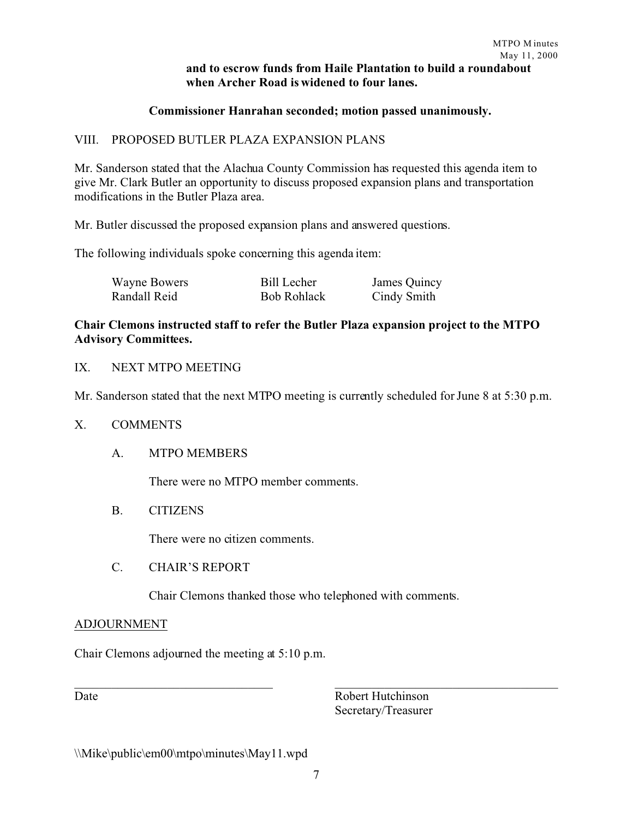## **and to escrow funds from Haile Plantation to build a roundabout when Archer Road is widened to four lanes.**

#### **Commissioner Hanrahan seconded; motion passed unanimously.**

#### VIII. PROPOSED BUTLER PLAZA EXPANSION PLANS

Mr. Sanderson stated that the Alachua County Commission has requested this agenda item to give Mr. Clark Butler an opportunity to discuss proposed expansion plans and transportation modifications in the Butler Plaza area.

Mr. Butler discussed the proposed expansion plans and answered questions.

The following individuals spoke concerning this agenda item:

| Wayne Bowers | <b>Bill Lecher</b> | James Quincy |
|--------------|--------------------|--------------|
| Randall Reid | <b>Bob Rohlack</b> | Cindy Smith  |

#### **Chair Clemons instructed staff to refer the Butler Plaza expansion project to the MTPO Advisory Committees.**

## IX. NEXT MTPO MEETING

Mr. Sanderson stated that the next MTPO meeting is currently scheduled for June 8 at 5:30 p.m.

#### X. COMMENTS

#### A. MTPO MEMBERS

There were no MTPO member comments.

#### B. CITIZENS

There were no citizen comments.

#### C. CHAIR'S REPORT

Chair Clemons thanked those who telephoned with comments.

#### ADJOURNMENT

Chair Clemons adjourned the meeting at 5:10 p.m.

Date Robert Hutchinson Secretary/Treasurer

\\Mike\public\em00\mtpo\minutes\May11.wpd

 $\_$  , and the set of the set of the set of the set of the set of the set of the set of the set of the set of the set of the set of the set of the set of the set of the set of the set of the set of the set of the set of th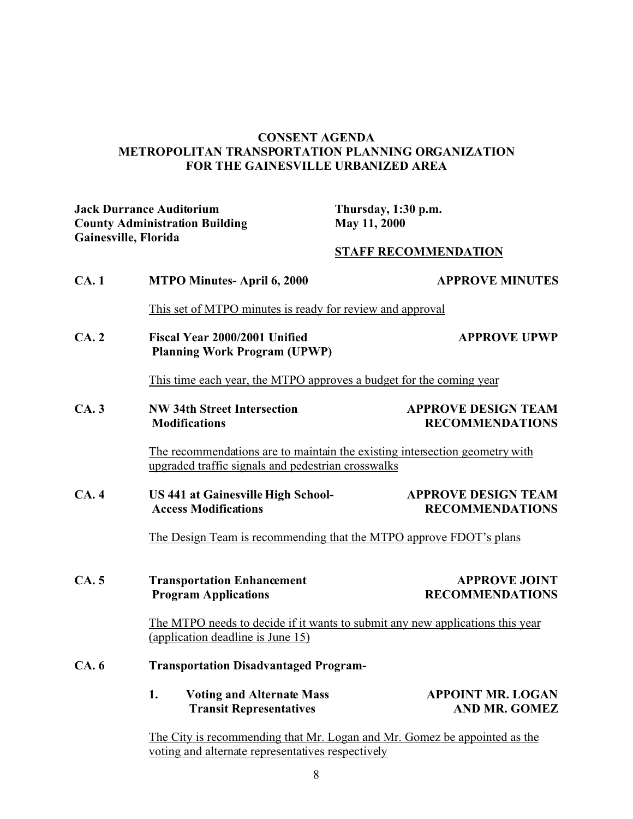#### **CONSENT AGENDA METROPOLITAN TRANSPORTATION PLANNING ORGANIZATION FOR THE GAINESVILLE URBANIZED AREA**

**Jack Durrance Auditorium Thursday, 1:30 p.m. County Administration Building Gainesville, Florida**

#### **STAFF RECOMMENDATION**

| CA.1 | <b>MTPO Minutes-April 6, 2000</b>                                                                                                 | <b>APPROVE MINUTES</b>                               |  |  |
|------|-----------------------------------------------------------------------------------------------------------------------------------|------------------------------------------------------|--|--|
|      | This set of MTPO minutes is ready for review and approval                                                                         |                                                      |  |  |
| CA.2 | Fiscal Year 2000/2001 Unified<br><b>Planning Work Program (UPWP)</b>                                                              | <b>APPROVE UPWP</b>                                  |  |  |
|      | This time each year, the MTPO approves a budget for the coming year                                                               |                                                      |  |  |
| CA.3 | <b>NW 34th Street Intersection</b><br><b>Modifications</b>                                                                        | <b>APPROVE DESIGN TEAM</b><br><b>RECOMMENDATIONS</b> |  |  |
|      | The recommendations are to maintain the existing intersection geometry with<br>upgraded traffic signals and pedestrian crosswalks |                                                      |  |  |
| CA.4 | <b>US 441 at Gainesville High School-</b><br><b>Access Modifications</b>                                                          | <b>APPROVE DESIGN TEAM</b><br><b>RECOMMENDATIONS</b> |  |  |
|      | The Design Team is recommending that the MTPO approve FDOT's plans                                                                |                                                      |  |  |
| CA.5 | <b>Transportation Enhancement</b><br><b>Program Applications</b>                                                                  | <b>APPROVE JOINT</b><br><b>RECOMMENDATIONS</b>       |  |  |
|      | The MTPO needs to decide if it wants to submit any new applications this year<br>(application deadline is June 15)                |                                                      |  |  |
| CA.6 | <b>Transportation Disadvantaged Program-</b>                                                                                      |                                                      |  |  |
|      | 1.<br><b>Voting and Alternate Mass</b><br><b>Transit Representatives</b>                                                          | <b>APPOINT MR. LOGAN</b><br><b>AND MR. GOMEZ</b>     |  |  |
|      | The City is recommending that $Mr$ Logan and $Mr$ Gomez be annointed as the                                                       |                                                      |  |  |

The City is recommending that Mr. Logan and Mr. Gomez be appointed as the voting and alternate representatives respectively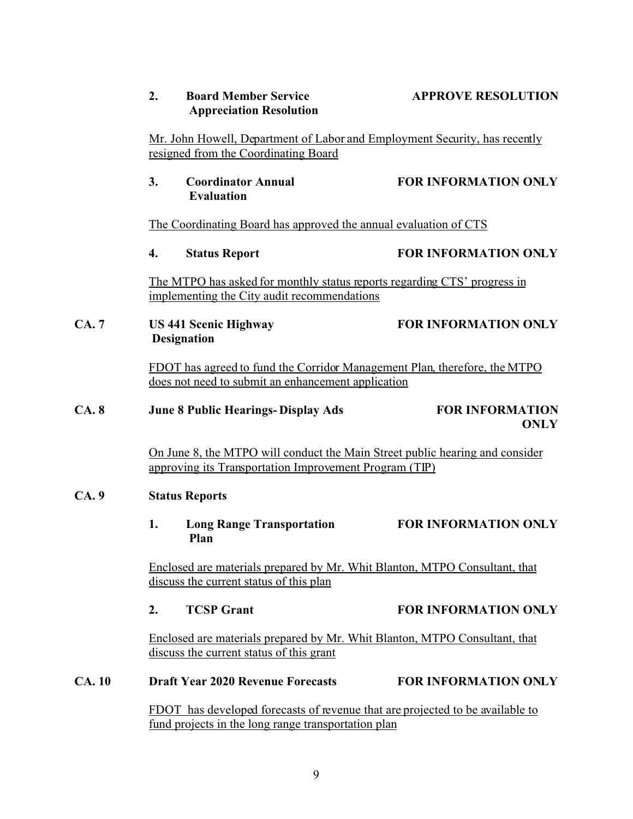|              | 2.                                                                                                                    | <b>Board Member Service</b><br><b>Appreciation Resolution</b>                                                                        | <b>APPROVE RESOLUTION</b>                                                           |  |
|--------------|-----------------------------------------------------------------------------------------------------------------------|--------------------------------------------------------------------------------------------------------------------------------------|-------------------------------------------------------------------------------------|--|
|              | Mr. John Howell, Department of Labor and Employment Security, has recently<br>resigned from the Coordinating Board    |                                                                                                                                      |                                                                                     |  |
|              | 3.                                                                                                                    | <b>Coordinator Annual</b><br><b>Evaluation</b>                                                                                       | <b>FOR INFORMATION ONLY</b>                                                         |  |
|              | The Coordinating Board has approved the annual evaluation of CTS                                                      |                                                                                                                                      |                                                                                     |  |
|              | 4.                                                                                                                    | <b>Status Report</b>                                                                                                                 | <b>FOR INFORMATION ONLY</b>                                                         |  |
|              |                                                                                                                       | The MTPO has asked for monthly status reports regarding CTS' progress in<br>implementing the City audit recommendations              |                                                                                     |  |
| CA.7         |                                                                                                                       | <b>US 441 Scenic Highway</b><br><b>Designation</b>                                                                                   | <b>FOR INFORMATION ONLY</b>                                                         |  |
|              |                                                                                                                       | does not need to submit an enhancement application                                                                                   | FDOT has agreed to fund the Corridor Management Plan, therefore, the MTPO           |  |
| CA.8         |                                                                                                                       | <b>June 8 Public Hearings-Display Ads</b>                                                                                            | <b>FOR INFORMATION</b><br><b>ONLY</b>                                               |  |
|              |                                                                                                                       | approving its Transportation Improvement Program (TIP)                                                                               | <u>On June 8, the MTPO will conduct the Main Street public hearing and consider</u> |  |
| CA.9         | <b>Status Reports</b>                                                                                                 |                                                                                                                                      |                                                                                     |  |
|              | 1.                                                                                                                    | <b>Long Range Transportation</b><br>Plan                                                                                             | FOR INFORMATION ONLY                                                                |  |
|              | Enclosed are materials prepared by Mr. Whit Blanton, MTPO Consultant, that<br>discuss the current status of this plan |                                                                                                                                      |                                                                                     |  |
|              | 2.                                                                                                                    | <b>TCSP Grant</b>                                                                                                                    | <b>FOR INFORMATION ONLY</b>                                                         |  |
|              |                                                                                                                       | Enclosed are materials prepared by Mr. Whit Blanton, MTPO Consultant, that<br>discuss the current status of this grant               |                                                                                     |  |
| <b>CA.10</b> |                                                                                                                       | <b>Draft Year 2020 Revenue Forecasts</b>                                                                                             | <b>FOR INFORMATION ONLY</b>                                                         |  |
|              |                                                                                                                       | FDOT has developed forecasts of revenue that are projected to be available to<br>fund projects in the long range transportation plan |                                                                                     |  |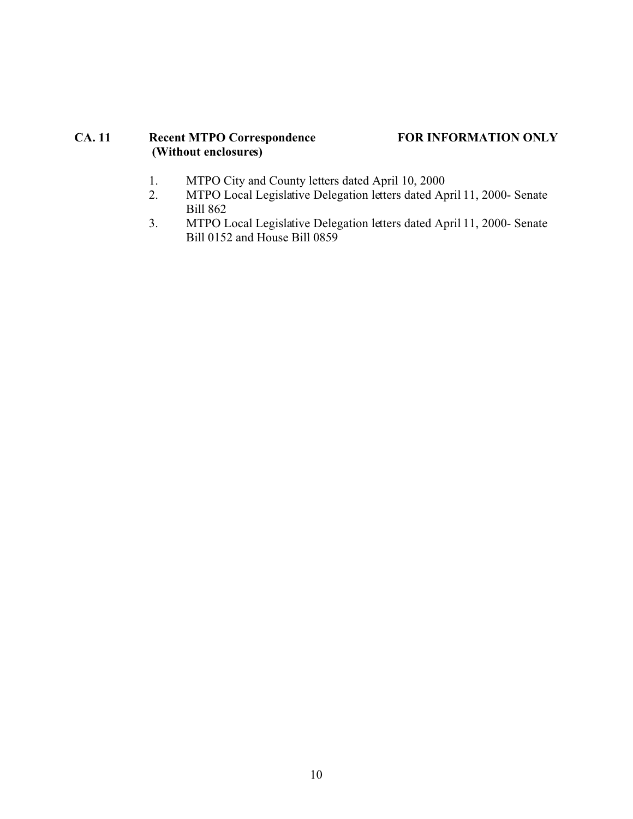## **CA. 11 Recent MTPO Correspondence FOR INFORMATION ONLY (Without enclosures)**

- 1. MTPO City and County letters dated April 10, 2000<br>2. MTPO Local Legislative Delegation letters dated Ar
- 2. MTPO Local Legislative Delegation letters dated April 11, 2000- Senate Bill 862
- 3. MTPO Local Legislative Delegation letters dated April 11, 2000- Senate Bill 0152 and House Bill 0859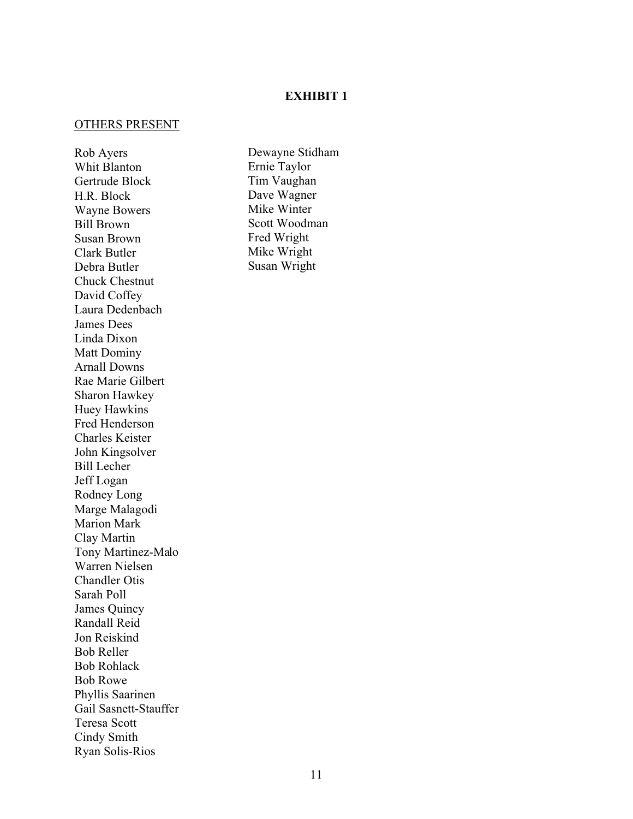#### **EXHIBIT 1**

#### OTHERS PRESENT

Rob Ayers Whit Blanton Gertrude Block H.R. Block Wayne Bowers Bill Brown Susan Brown Clark Butler Debra Butler Chuck Chestnut David Coffey Laura Dedenbach James Dees Linda Dixon Matt Dominy Arnall Downs Rae Marie Gilbert Sharon Hawkey Huey Hawkins Fred Henderson Charles Keister John Kingsolver Bill Lecher Jeff Logan Rodney Long Marge Malagodi Marion Mark Clay Martin Tony Martinez-Malo Warren Nielsen Chandler Otis Sarah Poll James Quincy Randall Reid Jon Reiskind Bob Reller Bob Rohlack Bob Rowe Phyllis Saarinen Gail Sasnett-Stauffer Teresa Scott Cindy Smith Ryan Solis-Rios

Dewayne Stidham Ernie Taylor Tim Vaughan Dave Wagner Mike Winter Scott Woodman Fred Wright Mike Wright Susan Wright